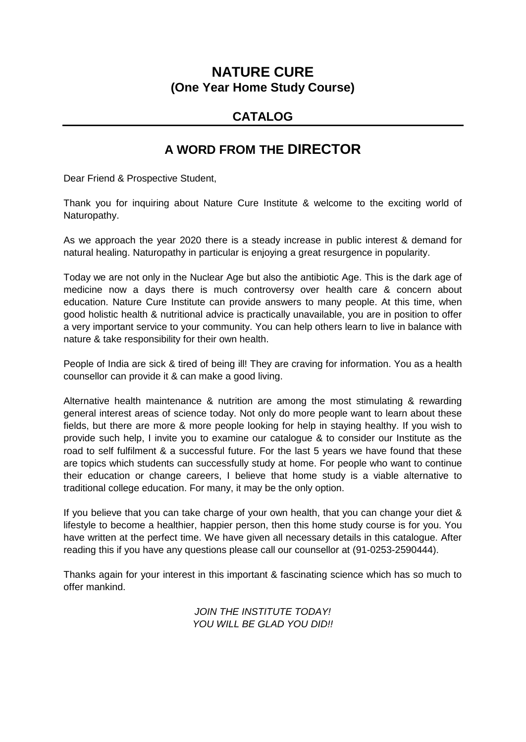## **NATURE CURE (One Year Home Study Course)**

### **CATALOG**

## **A WORD FROM THE DIRECTOR**

Dear Friend & Prospective Student,

Thank you for inquiring about Nature Cure Institute & welcome to the exciting world of Naturopathy.

As we approach the year 2020 there is a steady increase in public interest & demand for natural healing. Naturopathy in particular is enjoying a great resurgence in popularity.

Today we are not only in the Nuclear Age but also the antibiotic Age. This is the dark age of medicine now a days there is much controversy over health care & concern about education. Nature Cure Institute can provide answers to many people. At this time, when good holistic health & nutritional advice is practically unavailable, you are in position to offer a very important service to your community. You can help others learn to live in balance with nature & take responsibility for their own health.

People of India are sick & tired of being ill! They are craving for information. You as a health counsellor can provide it & can make a good living.

Alternative health maintenance & nutrition are among the most stimulating & rewarding general interest areas of science today. Not only do more people want to learn about these fields, but there are more & more people looking for help in staying healthy. If you wish to provide such help, I invite you to examine our catalogue & to consider our Institute as the road to self fulfilment & a successful future. For the last 5 years we have found that these are topics which students can successfully study at home. For people who want to continue their education or change careers, I believe that home study is a viable alternative to traditional college education. For many, it may be the only option.

If you believe that you can take charge of your own health, that you can change your diet & lifestyle to become a healthier, happier person, then this home study course is for you. You have written at the perfect time. We have given all necessary details in this catalogue. After reading this if you have any questions please call our counsellor at (91-0253-2590444).

Thanks again for your interest in this important & fascinating science which has so much to offer mankind.

> *JOIN THE INSTITUTE TODAY! YOU WILL BE GLAD YOU DID!!*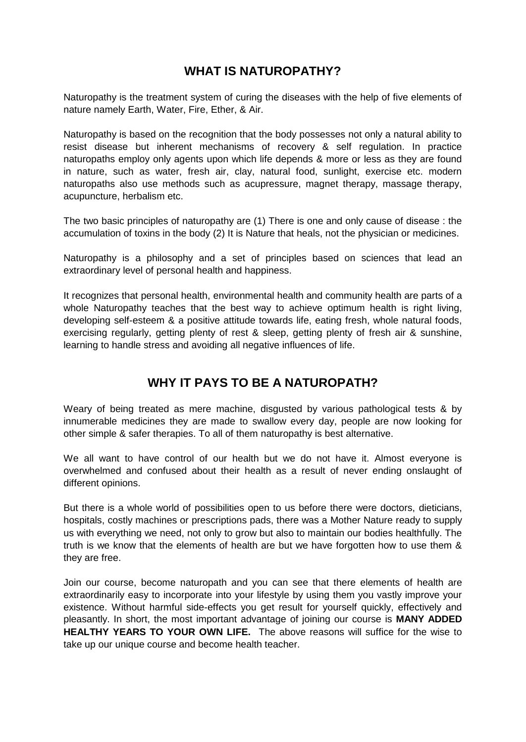### **WHAT IS NATUROPATHY?**

Naturopathy is the treatment system of curing the diseases with the help of five elements of nature namely Earth, Water, Fire, Ether, & Air.

Naturopathy is based on the recognition that the body possesses not only a natural ability to resist disease but inherent mechanisms of recovery & self regulation. In practice naturopaths employ only agents upon which life depends & more or less as they are found in nature, such as water, fresh air, clay, natural food, sunlight, exercise etc. modern naturopaths also use methods such as acupressure, magnet therapy, massage therapy, acupuncture, herbalism etc.

The two basic principles of naturopathy are (1) There is one and only cause of disease : the accumulation of toxins in the body (2) It is Nature that heals, not the physician or medicines.

Naturopathy is a philosophy and a set of principles based on sciences that lead an extraordinary level of personal health and happiness.

It recognizes that personal health, environmental health and community health are parts of a whole Naturopathy teaches that the best way to achieve optimum health is right living, developing self-esteem & a positive attitude towards life, eating fresh, whole natural foods, exercising regularly, getting plenty of rest & sleep, getting plenty of fresh air & sunshine, learning to handle stress and avoiding all negative influences of life.

## **WHY IT PAYS TO BE A NATUROPATH?**

Weary of being treated as mere machine, disgusted by various pathological tests & by innumerable medicines they are made to swallow every day, people are now looking for other simple & safer therapies. To all of them naturopathy is best alternative.

We all want to have control of our health but we do not have it. Almost everyone is overwhelmed and confused about their health as a result of never ending onslaught of different opinions.

But there is a whole world of possibilities open to us before there were doctors, dieticians, hospitals, costly machines or prescriptions pads, there was a Mother Nature ready to supply us with everything we need, not only to grow but also to maintain our bodies healthfully. The truth is we know that the elements of health are but we have forgotten how to use them & they are free.

Join our course, become naturopath and you can see that there elements of health are extraordinarily easy to incorporate into your lifestyle by using them you vastly improve your existence. Without harmful side-effects you get result for yourself quickly, effectively and pleasantly. In short, the most important advantage of joining our course is **MANY ADDED HEALTHY YEARS TO YOUR OWN LIFE.** The above reasons will suffice for the wise to take up our unique course and become health teacher.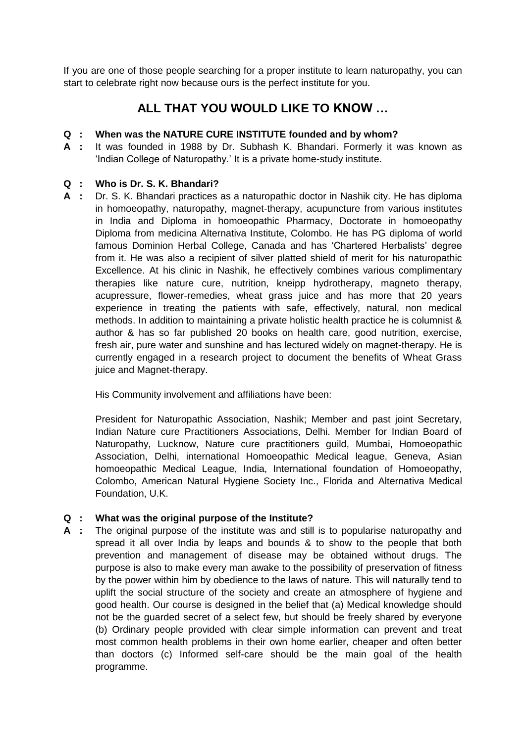If you are one of those people searching for a proper institute to learn naturopathy, you can start to celebrate right now because ours is the perfect institute for you.

## **ALL THAT YOU WOULD LIKE TO KNOW …**

#### **Q : When was the NATURE CURE INSTITUTE founded and by whom?**

**A :** It was founded in 1988 by Dr. Subhash K. Bhandari. Formerly it was known as 'Indian College of Naturopathy.' It is a private home-study institute.

#### **Q : Who is Dr. S. K. Bhandari?**

**A :** Dr. S. K. Bhandari practices as a naturopathic doctor in Nashik city. He has diploma in homoeopathy, naturopathy, magnet-therapy, acupuncture from various institutes in India and Diploma in homoeopathic Pharmacy, Doctorate in homoeopathy Diploma from medicina Alternativa Institute, Colombo. He has PG diploma of world famous Dominion Herbal College, Canada and has 'Chartered Herbalists' degree from it. He was also a recipient of silver platted shield of merit for his naturopathic Excellence. At his clinic in Nashik, he effectively combines various complimentary therapies like nature cure, nutrition, kneipp hydrotherapy, magneto therapy, acupressure, flower-remedies, wheat grass juice and has more that 20 years experience in treating the patients with safe, effectively, natural, non medical methods. In addition to maintaining a private holistic health practice he is columnist & author & has so far published 20 books on health care, good nutrition, exercise, fresh air, pure water and sunshine and has lectured widely on magnet-therapy. He is currently engaged in a research project to document the benefits of Wheat Grass juice and Magnet-therapy.

His Community involvement and affiliations have been:

President for Naturopathic Association, Nashik; Member and past joint Secretary, Indian Nature cure Practitioners Associations, Delhi. Member for Indian Board of Naturopathy, Lucknow, Nature cure practitioners guild, Mumbai, Homoeopathic Association, Delhi, international Homoeopathic Medical league, Geneva, Asian homoeopathic Medical League, India, International foundation of Homoeopathy, Colombo, American Natural Hygiene Society Inc., Florida and Alternativa Medical Foundation, U.K.

#### **Q : What was the original purpose of the Institute?**

**A :** The original purpose of the institute was and still is to popularise naturopathy and spread it all over India by leaps and bounds & to show to the people that both prevention and management of disease may be obtained without drugs. The purpose is also to make every man awake to the possibility of preservation of fitness by the power within him by obedience to the laws of nature. This will naturally tend to uplift the social structure of the society and create an atmosphere of hygiene and good health. Our course is designed in the belief that (a) Medical knowledge should not be the guarded secret of a select few, but should be freely shared by everyone (b) Ordinary people provided with clear simple information can prevent and treat most common health problems in their own home earlier, cheaper and often better than doctors (c) Informed self-care should be the main goal of the health programme.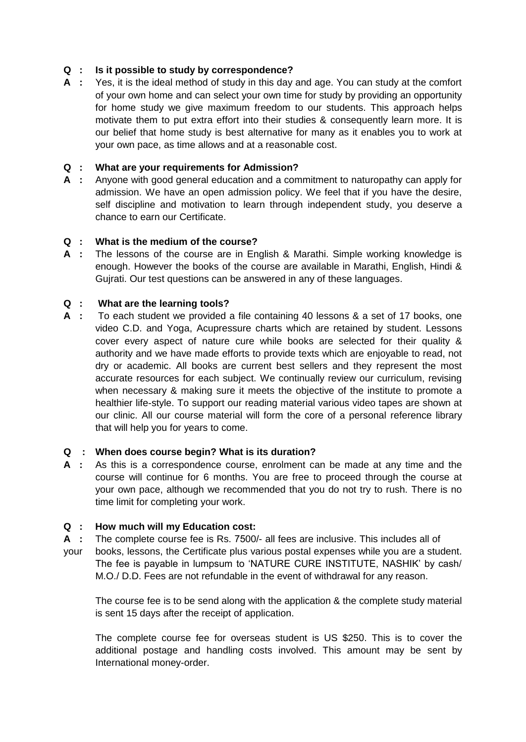#### **Q : Is it possible to study by correspondence?**

**A :** Yes, it is the ideal method of study in this day and age. You can study at the comfort of your own home and can select your own time for study by providing an opportunity for home study we give maximum freedom to our students. This approach helps motivate them to put extra effort into their studies & consequently learn more. It is our belief that home study is best alternative for many as it enables you to work at your own pace, as time allows and at a reasonable cost.

#### **Q : What are your requirements for Admission?**

**A :** Anyone with good general education and a commitment to naturopathy can apply for admission. We have an open admission policy. We feel that if you have the desire, self discipline and motivation to learn through independent study, you deserve a chance to earn our Certificate.

#### **Q : What is the medium of the course?**

**A :** The lessons of the course are in English & Marathi. Simple working knowledge is enough. However the books of the course are available in Marathi, English, Hindi & Gujrati. Our test questions can be answered in any of these languages.

#### **Q : What are the learning tools?**

**A :** To each student we provided a file containing 40 lessons & a set of 17 books, one video C.D. and Yoga, Acupressure charts which are retained by student. Lessons cover every aspect of nature cure while books are selected for their quality & authority and we have made efforts to provide texts which are enjoyable to read, not dry or academic. All books are current best sellers and they represent the most accurate resources for each subject. We continually review our curriculum, revising when necessary & making sure it meets the objective of the institute to promote a healthier life-style. To support our reading material various video tapes are shown at our clinic. All our course material will form the core of a personal reference library that will help you for years to come.

#### **Q : When does course begin? What is its duration?**

**A :** As this is a correspondence course, enrolment can be made at any time and the course will continue for 6 months. You are free to proceed through the course at your own pace, although we recommended that you do not try to rush. There is no time limit for completing your work.

#### **Q : How much will my Education cost:**

- **A :** The complete course fee is Rs. 7500/- all fees are inclusive. This includes all of
- your books, lessons, the Certificate plus various postal expenses while you are a student. The fee is payable in lumpsum to 'NATURE CURE INSTITUTE, NASHIK' by cash/ M.O./ D.D. Fees are not refundable in the event of withdrawal for any reason.

The course fee is to be send along with the application & the complete study material is sent 15 days after the receipt of application.

The complete course fee for overseas student is US \$250. This is to cover the additional postage and handling costs involved. This amount may be sent by International money-order.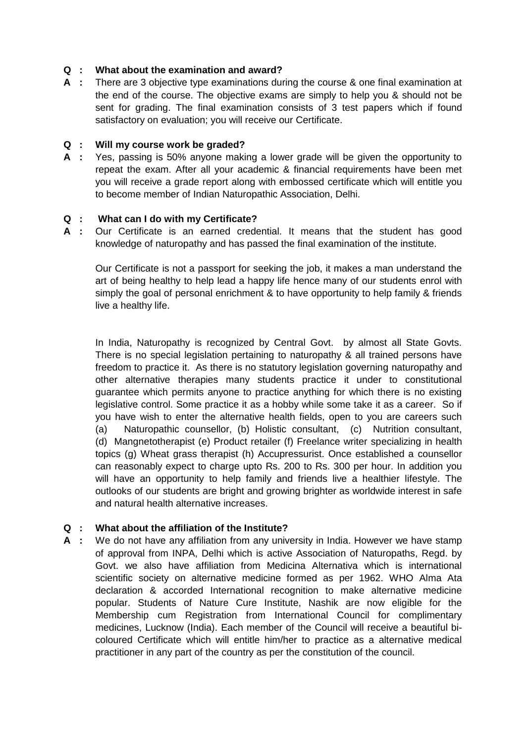#### **Q : What about the examination and award?**

**A :** There are 3 objective type examinations during the course & one final examination at the end of the course. The objective exams are simply to help you & should not be sent for grading. The final examination consists of 3 test papers which if found satisfactory on evaluation; you will receive our Certificate.

#### **Q : Will my course work be graded?**

**A :** Yes, passing is 50% anyone making a lower grade will be given the opportunity to repeat the exam. After all your academic & financial requirements have been met you will receive a grade report along with embossed certificate which will entitle you to become member of Indian Naturopathic Association, Delhi.

#### **Q : What can I do with my Certificate?**

**A :** Our Certificate is an earned credential. It means that the student has good knowledge of naturopathy and has passed the final examination of the institute.

Our Certificate is not a passport for seeking the job, it makes a man understand the art of being healthy to help lead a happy life hence many of our students enrol with simply the goal of personal enrichment & to have opportunity to help family & friends live a healthy life.

In India, Naturopathy is recognized by Central Govt. by almost all State Govts. There is no special legislation pertaining to naturopathy & all trained persons have freedom to practice it. As there is no statutory legislation governing naturopathy and other alternative therapies many students practice it under to constitutional guarantee which permits anyone to practice anything for which there is no existing legislative control. Some practice it as a hobby while some take it as a career. So if you have wish to enter the alternative health fields, open to you are careers such (a) Naturopathic counsellor, (b) Holistic consultant, (c) Nutrition consultant, (d) Mangnetotherapist (e) Product retailer (f) Freelance writer specializing in health topics (g) Wheat grass therapist (h) Accupressurist. Once established a counsellor can reasonably expect to charge upto Rs. 200 to Rs. 300 per hour. In addition you will have an opportunity to help family and friends live a healthier lifestyle. The outlooks of our students are bright and growing brighter as worldwide interest in safe and natural health alternative increases.

#### **Q : What about the affiliation of the Institute?**

**A :** We do not have any affiliation from any university in India. However we have stamp of approval from INPA, Delhi which is active Association of Naturopaths, Regd. by Govt. we also have affiliation from Medicina Alternativa which is international scientific society on alternative medicine formed as per 1962. WHO Alma Ata declaration & accorded International recognition to make alternative medicine popular. Students of Nature Cure Institute, Nashik are now eligible for the Membership cum Registration from International Council for complimentary medicines, Lucknow (India). Each member of the Council will receive a beautiful bicoloured Certificate which will entitle him/her to practice as a alternative medical practitioner in any part of the country as per the constitution of the council.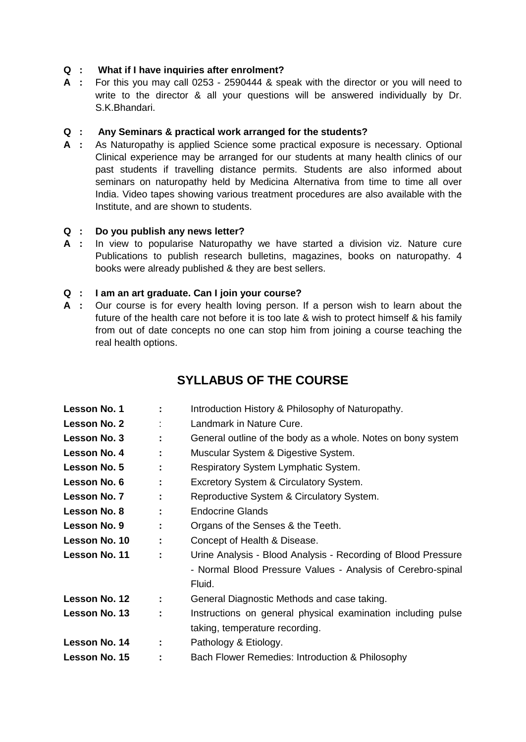#### **Q : What if I have inquiries after enrolment?**

**A :** For this you may call 0253 - 2590444 & speak with the director or you will need to write to the director & all your questions will be answered individually by Dr. S.K.Bhandari.

#### **Q : Any Seminars & practical work arranged for the students?**

**A :** As Naturopathy is applied Science some practical exposure is necessary. Optional Clinical experience may be arranged for our students at many health clinics of our past students if travelling distance permits. Students are also informed about seminars on naturopathy held by Medicina Alternativa from time to time all over India. Video tapes showing various treatment procedures are also available with the Institute, and are shown to students.

#### **Q : Do you publish any news letter?**

**A :** In view to popularise Naturopathy we have started a division viz. Nature cure Publications to publish research bulletins, magazines, books on naturopathy. 4 books were already published & they are best sellers.

#### **Q : I am an art graduate. Can I join your course?**

**A :** Our course is for every health loving person. If a person wish to learn about the future of the health care not before it is too late & wish to protect himself & his family from out of date concepts no one can stop him from joining a course teaching the real health options.

## **SYLLABUS OF THE COURSE**

| Lesson No. 1  |   | Introduction History & Philosophy of Naturopathy.             |
|---------------|---|---------------------------------------------------------------|
| Lesson No. 2  |   | Landmark in Nature Cure.                                      |
| Lesson No. 3  | ÷ | General outline of the body as a whole. Notes on bony system  |
| Lesson No. 4  | ÷ | Muscular System & Digestive System.                           |
| Lesson No. 5  | ÷ | Respiratory System Lymphatic System.                          |
| Lesson No. 6  | ÷ | Excretory System & Circulatory System.                        |
| Lesson No. 7  | ÷ | Reproductive System & Circulatory System.                     |
| Lesson No. 8  | ÷ | <b>Endocrine Glands</b>                                       |
| Lesson No. 9  |   | Organs of the Senses & the Teeth.                             |
| Lesson No. 10 | ÷ | Concept of Health & Disease.                                  |
| Lesson No. 11 | ÷ | Urine Analysis - Blood Analysis - Recording of Blood Pressure |
|               |   | - Normal Blood Pressure Values - Analysis of Cerebro-spinal   |
|               |   | Fluid.                                                        |
| Lesson No. 12 | ÷ | General Diagnostic Methods and case taking.                   |
| Lesson No. 13 |   | Instructions on general physical examination including pulse  |
|               |   | taking, temperature recording.                                |
| Lesson No. 14 | ÷ | Pathology & Etiology.                                         |
| Lesson No. 15 |   | Bach Flower Remedies: Introduction & Philosophy               |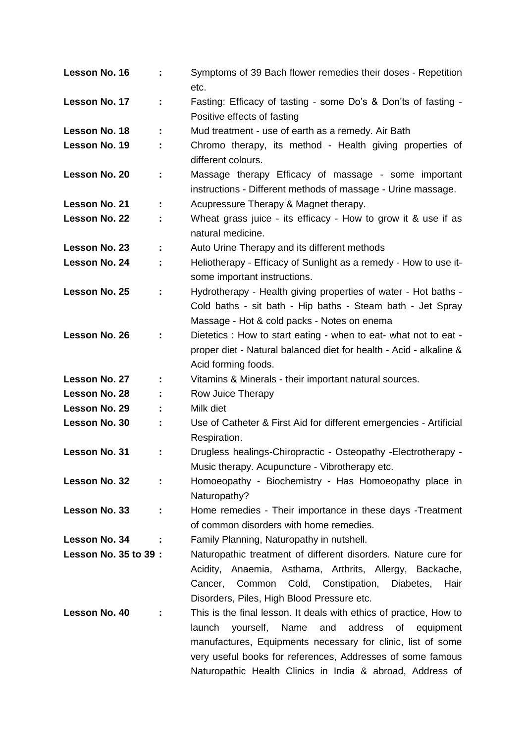| Lesson No. 16               | ÷  | Symptoms of 39 Bach flower remedies their doses - Repetition<br>etc.                                                    |
|-----------------------------|----|-------------------------------------------------------------------------------------------------------------------------|
| Lesson No. 17               | ÷  | Fasting: Efficacy of tasting - some Do's & Don'ts of fasting -<br>Positive effects of fasting                           |
| Lesson No. 18               |    | Mud treatment - use of earth as a remedy. Air Bath                                                                      |
| Lesson No. 19               | ÷  | Chromo therapy, its method - Health giving properties of                                                                |
|                             |    | different colours.                                                                                                      |
| Lesson No. 20               | ÷  | Massage therapy Efficacy of massage - some important<br>instructions - Different methods of massage - Urine massage.    |
| Lesson No. 21               | ÷  | Acupressure Therapy & Magnet therapy.                                                                                   |
| Lesson No. 22               | ÷  | Wheat grass juice - its efficacy - How to grow it & use if as                                                           |
|                             |    | natural medicine.                                                                                                       |
| Lesson No. 23               | ÷  | Auto Urine Therapy and its different methods                                                                            |
| Lesson No. 24               | ÷  | Heliotherapy - Efficacy of Sunlight as a remedy - How to use it-                                                        |
|                             |    | some important instructions.                                                                                            |
| Lesson No. 25               | ÷  | Hydrotherapy - Health giving properties of water - Hot baths -                                                          |
|                             |    | Cold baths - sit bath - Hip baths - Steam bath - Jet Spray                                                              |
|                             |    | Massage - Hot & cold packs - Notes on enema                                                                             |
| Lesson No. 26               | ÷  | Dietetics: How to start eating - when to eat- what not to eat -                                                         |
|                             |    | proper diet - Natural balanced diet for health - Acid - alkaline &                                                      |
|                             |    | Acid forming foods.                                                                                                     |
| Lesson No. 27               |    | Vitamins & Minerals - their important natural sources.                                                                  |
| Lesson No. 28               |    | Row Juice Therapy                                                                                                       |
| Lesson No. 29               |    | Milk diet                                                                                                               |
| Lesson No. 30               |    | Use of Catheter & First Aid for different emergencies - Artificial                                                      |
|                             |    | Respiration.                                                                                                            |
| Lesson No. 31               | Î, | Drugless healings-Chiropractic - Osteopathy -Electrotherapy -                                                           |
|                             |    | Music therapy. Acupuncture - Vibrotherapy etc.                                                                          |
| Lesson No. 32               | ÷  | Homoeopathy - Biochemistry - Has Homoeopathy place in                                                                   |
|                             |    | Naturopathy?                                                                                                            |
| Lesson No. 33               | ÷  | Home remedies - Their importance in these days - Treatment                                                              |
|                             |    | of common disorders with home remedies.                                                                                 |
| Lesson No. 34               |    | Family Planning, Naturopathy in nutshell.                                                                               |
| <b>Lesson No. 35 to 39:</b> |    | Naturopathic treatment of different disorders. Nature cure for                                                          |
|                             |    | Acidity, Anaemia, Asthama, Arthrits, Allergy, Backache,                                                                 |
|                             |    | Cancer, Common Cold, Constipation, Diabetes, Hair                                                                       |
|                             |    | Disorders, Piles, High Blood Pressure etc.                                                                              |
| Lesson No. 40               |    | This is the final lesson. It deals with ethics of practice, How to                                                      |
|                             |    |                                                                                                                         |
|                             |    |                                                                                                                         |
|                             |    | and address of equipment<br>launch<br>yourself,<br>Name                                                                 |
|                             |    | manufactures, Equipments necessary for clinic, list of some                                                             |
|                             |    | very useful books for references, Addresses of some famous<br>Naturopathic Health Clinics in India & abroad, Address of |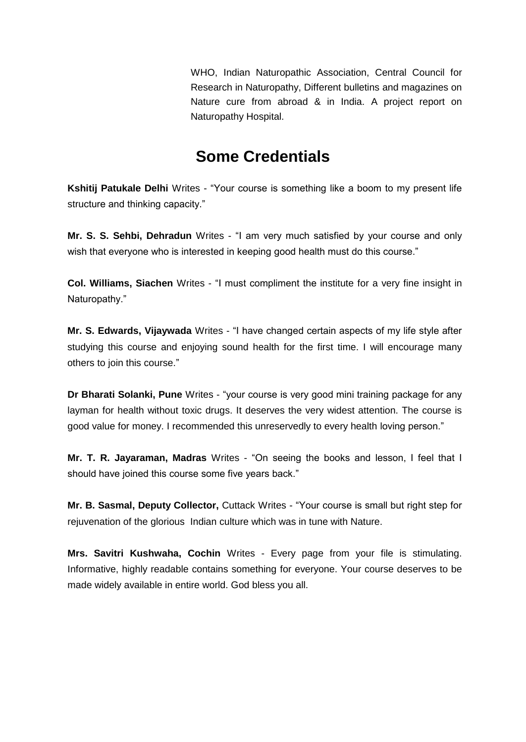WHO, Indian Naturopathic Association, Central Council for Research in Naturopathy, Different bulletins and magazines on Nature cure from abroad & in India. A project report on Naturopathy Hospital.

# **Some Credentials**

**Kshitij Patukale Delhi** Writes - "Your course is something like a boom to my present life structure and thinking capacity."

**Mr. S. S. Sehbi, Dehradun** Writes - "I am very much satisfied by your course and only wish that everyone who is interested in keeping good health must do this course."

**Col. Williams, Siachen** Writes - "I must compliment the institute for a very fine insight in Naturopathy."

**Mr. S. Edwards, Vijaywada** Writes - "I have changed certain aspects of my life style after studying this course and enjoying sound health for the first time. I will encourage many others to join this course."

**Dr Bharati Solanki, Pune** Writes - "your course is very good mini training package for any layman for health without toxic drugs. It deserves the very widest attention. The course is good value for money. I recommended this unreservedly to every health loving person."

**Mr. T. R. Jayaraman, Madras** Writes - "On seeing the books and lesson, I feel that I should have joined this course some five years back."

**Mr. B. Sasmal, Deputy Collector,** Cuttack Writes - "Your course is small but right step for rejuvenation of the glorious Indian culture which was in tune with Nature.

**Mrs. Savitri Kushwaha, Cochin** Writes - Every page from your file is stimulating. Informative, highly readable contains something for everyone. Your course deserves to be made widely available in entire world. God bless you all.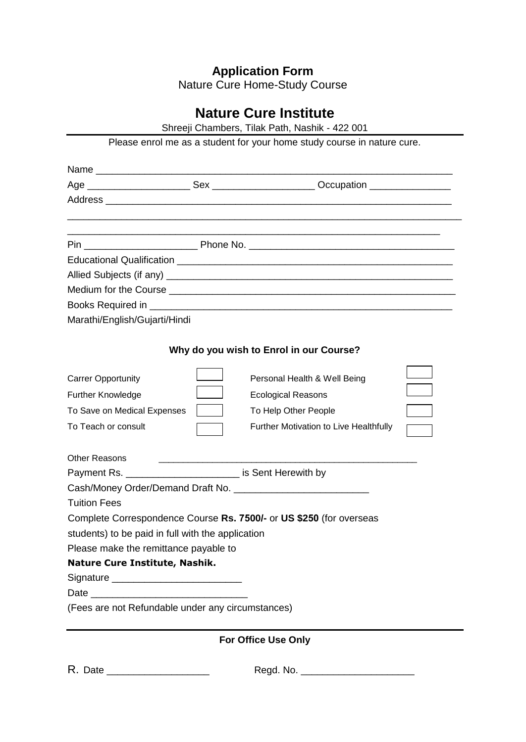## **Application Form**

Nature Cure Home-Study Course

## **Nature Cure Institute**

Shreeji Chambers, Tilak Path, Nashik - 422 001

|                                                                         | Please enrol me as a student for your home study course in nature cure.          |  |
|-------------------------------------------------------------------------|----------------------------------------------------------------------------------|--|
|                                                                         |                                                                                  |  |
|                                                                         |                                                                                  |  |
|                                                                         | ,我们也不能在这里的人,我们也不能在这里的人,我们也不能在这里的人,我们也不能在这里的人,我们也不能在这里的人,我们也不能在这里的人,我们也不能在这里的人,我们 |  |
|                                                                         |                                                                                  |  |
|                                                                         |                                                                                  |  |
|                                                                         |                                                                                  |  |
|                                                                         |                                                                                  |  |
|                                                                         |                                                                                  |  |
| Marathi/English/Gujarti/Hindi                                           |                                                                                  |  |
|                                                                         | Why do you wish to Enrol in our Course?                                          |  |
| <b>Carrer Opportunity</b>                                               | Personal Health & Well Being                                                     |  |
| Further Knowledge                                                       | <b>Ecological Reasons</b>                                                        |  |
| To Save on Medical Expenses                                             | To Help Other People                                                             |  |
| To Teach or consult                                                     | Further Motivation to Live Healthfully                                           |  |
| <b>Other Reasons</b><br><u> 1980 - Andrea Albert III, político esta</u> |                                                                                  |  |
| Payment Rs. ___________________________ is Sent Herewith by             |                                                                                  |  |
|                                                                         |                                                                                  |  |
| <b>Tuition Fees</b>                                                     |                                                                                  |  |
|                                                                         | Complete Correspondence Course Rs. 7500/- or US \$250 (for overseas              |  |
| students) to be paid in full with the application                       |                                                                                  |  |
| Please make the remittance payable to                                   |                                                                                  |  |
| Nature Cure Institute, Nashik.                                          |                                                                                  |  |
| Signature _______________________________                               |                                                                                  |  |
|                                                                         |                                                                                  |  |
| (Fees are not Refundable under any circumstances)                       |                                                                                  |  |
|                                                                         | <b>For Office Use Only</b>                                                       |  |

R. Date \_\_\_\_\_\_\_\_\_\_\_\_\_\_\_\_\_\_\_ Regd. No. \_\_\_\_\_\_\_\_\_\_\_\_\_\_\_\_\_\_\_\_\_